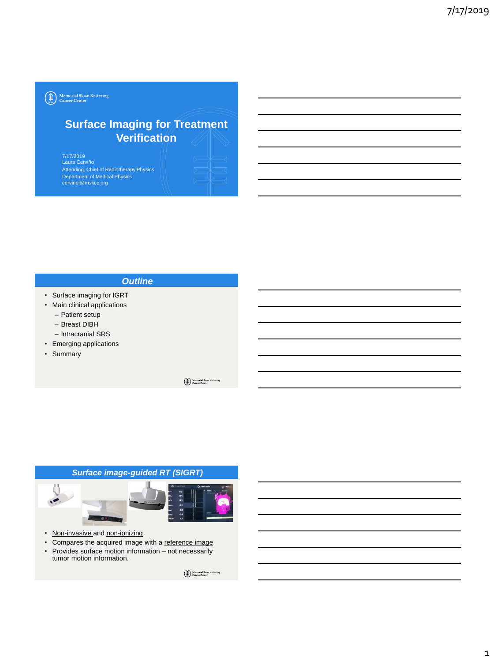$\left(\begin{matrix} \textcolor{red}{\bigoplus}\textcolor{green}{\bigoplus}\textcolor{green}{\textcolor{blue}{\operatorname{Memorial S loan Kettering}}} \\\textcolor{blue}{\operatorname{Cancer Center}} \end{matrix}\right)$ 

# **Surface Imaging for Treatment Verification**

7/17/2019 Laura Cerviño Attending, Chief of Radiotherapy Physics Department of Medical Physics cervinol@mskcc.org

#### *Outline*

- Surface imaging for IGRT
- Main clinical applications
	- Patient setup
	- Breast DIBH
	- Intracranial SRS
- Emerging applications
- Summary

 $\begin{picture}(22,10) \put(0,0){\line(1,0){10}} \put(15,0){\line(1,0){10}} \put(25,0){\line(1,0){10}} \put(25,0){\line(1,0){10}} \put(25,0){\line(1,0){10}} \put(25,0){\line(1,0){10}} \put(25,0){\line(1,0){10}} \put(25,0){\line(1,0){10}} \put(25,0){\line(1,0){10}} \put(25,0){\line(1,0){10}} \put(25,0){\line(1,0){10}} \put(25,0){\line(1$ 

# *Surface image-guided RT (SIGRT)*

- Non-invasive and non-ionizing
- Compares the acquired image with a reference image
- Provides surface motion information not necessarily tumor motion information.

Memorial Sloan Kettering<br>Cancer Center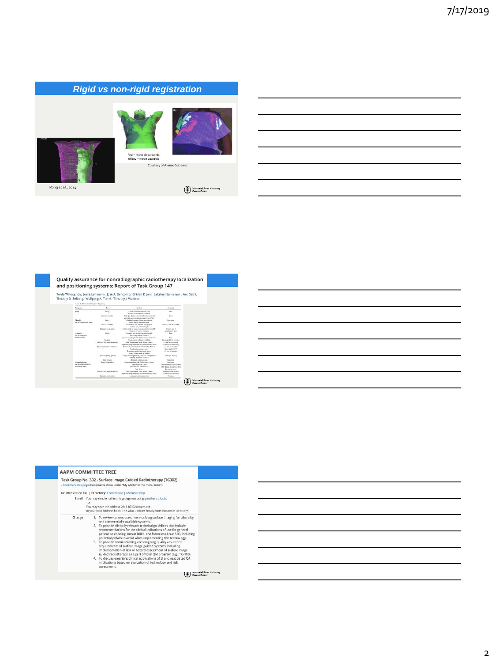# *Rigid vs non-rigid registration*





Courtesy of Alonso Gutierrez

Rong et al., 2014

 $\bigoplus_{\text{cl}}\text{Memorial Soon Kettering}\\ \text{Cancer Center}$ 

|                                                                 |                                                          | Twyla Willoughby, Joerg Lehmann, José A. Bencomo, Shirish K. Jani, Lakshmi Santanam, Anil Sethi,   |                                                                         |
|-----------------------------------------------------------------|----------------------------------------------------------|----------------------------------------------------------------------------------------------------|-------------------------------------------------------------------------|
|                                                                 | Timothy D. Solberg, Wolfgang A. Tomé, Timothy I. Waldron |                                                                                                    |                                                                         |
| Text E. Antonomeded QA and Imparent                             |                                                          |                                                                                                    |                                                                         |
| Program's                                                       | Top                                                      | Method                                                                                             | <b>Automotiv</b>                                                        |
| Dalls.                                                          | Sufery                                                   | Check interlocky and diese fields<br>of view for all monenid contenu-                              | Pain                                                                    |
|                                                                 | Stanley Installation                                     | Daily OA sharpers resultingular isoccentrated<br>can track recovered to important from office      | $2 - 4$                                                                 |
| <b>Nexto</b><br>the adolitions be daily tested.                 | Sulety                                                   | Machine insurface: Gutine permissesion.<br>couch motion communication.                             | Tunctional                                                              |
|                                                                 | Stock: Insulticulum                                      | Local instine tool based on radiographic<br>neely on 11.4., badden target)                         | I was (1) are \$85,588(1).                                              |
|                                                                 | Dynamic Incalination                                     | Motive table or manage and motive of member<br>chaston by Lucian distance.                         | 2 days or loss of<br>missiliction spec                                  |
| Awwells<br>Do addition to all                                   | Subirty                                                  | Test doesn't buildings, bucking person searche.<br>and memprison off switches                      | Paid                                                                    |
| mentity total                                                   | kinocky                                                  | System moniting brackets (all carreres are source)<br>Classic caracter settings if and lable       | Paul<br>Uncharged from permane.                                         |
|                                                                 | Stability (AAR/Harodicibility).                          | Drick Museumstage (west at licent 1 hour)<br>Reproducibility disordization repeated several detach | <2 minimum car beat<br><1 minuter sublisting                            |
|                                                                 | Static localization testentive)                          | Full and to-end note (with data transfer check of<br>localization accuracy, etc.)                  | <2 mm of isocenes<br>Gram SRS (SEKT)                                    |
|                                                                 |                                                          | Translating and retailers was increas-<br>over a chease maps of station.                           | Chemist Warrant                                                         |
|                                                                 | Пукавій ізміжу кужикі:                                   | Using a metian placaces / classical gasing system<br>suliates dotatatry accuracy.                  | $-28$ par TG142.                                                        |
|                                                                 | Data transfer                                            | From all systems in sad-                                                                           | Electional                                                              |
| Constraintending<br>On addition to monthly<br>and annual trate) | Sales Generation                                         | Communications with EMRs/edux systems<br><b>Insurance with Line</b><br>Industry and implements     | EuroSatal<br><1 mm change in bandization<br><1% change in expected does |
|                                                                 |                                                          | Plated of stores                                                                                   | Per sources appc.                                                       |
|                                                                 | Stability (A48) reproducibility):                        | Only measurement times at least 1 heart<br>RombalMitr (includes room) promitive()                  | Establish warm an time:<br>of the above and disting                     |
|                                                                 | <b>Dynamic Incalination</b>                              | Lengton and and cadiga states                                                                      | <b>Building</b>                                                         |

|        | <b>AAPM COMMITTEE TREE</b>                                                                                                                                                                                                                                                                                                                                                                                                                                                                                                                                                                                                                                                                                                                                                                                        |
|--------|-------------------------------------------------------------------------------------------------------------------------------------------------------------------------------------------------------------------------------------------------------------------------------------------------------------------------------------------------------------------------------------------------------------------------------------------------------------------------------------------------------------------------------------------------------------------------------------------------------------------------------------------------------------------------------------------------------------------------------------------------------------------------------------------------------------------|
|        | Task Group No. 302 - Surface Image Guided Radiotherapy (TG302)<br>- bookmark this page (bookmarks show under "My AAPM" in the menu to left)                                                                                                                                                                                                                                                                                                                                                                                                                                                                                                                                                                                                                                                                       |
|        | No Website on file.   Directory: Committee   Membership                                                                                                                                                                                                                                                                                                                                                                                                                                                                                                                                                                                                                                                                                                                                                           |
|        | Email You may send email to this group now using gmail or outlook.<br>$-OT -$<br>You may save the address 2019.7G302@ggpm.org<br>to your local address book. This alias updates hourly from the AAPM Directory.                                                                                                                                                                                                                                                                                                                                                                                                                                                                                                                                                                                                   |
| Charge | 1. To review current use of non-ionizing surface imaging functionality<br>and commercially-available systems.<br>2. To provide clinically relevant technical guidelines that include<br>recommendations for the clinical indications of use for general<br>patient positioning, breast DIBH, and frameless brain SRS, including<br>potential pitfalls to avoid when implementing this technology.<br>3. To provide commissioning and on-going quality assurance<br>requirements of surface image guided systems, including<br>implementation of risk or hazard assessment of surface image<br>guided radiotherapy as a part of total QM program (e.g., TG-100).<br>4. To discuss emerging clinical applications of SI and associated QA<br>implications based on evaluation of technology and risk<br>assessment. |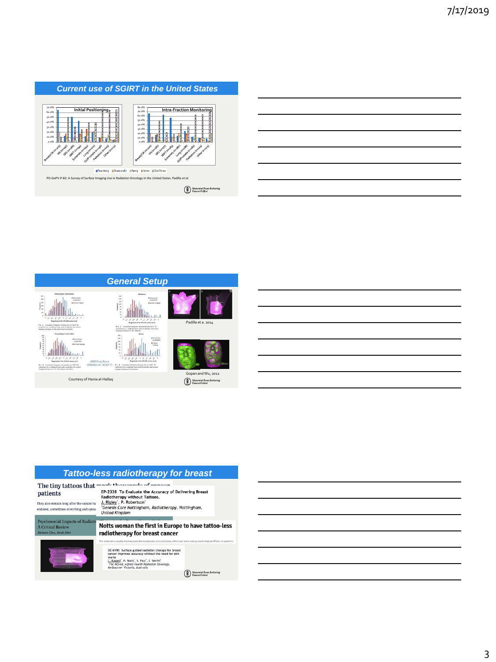



|                                                                                                   | <b>Tattoo-less radiotherapy for breast</b>                                                                                                                                                                                                                                                                                                       |
|---------------------------------------------------------------------------------------------------|--------------------------------------------------------------------------------------------------------------------------------------------------------------------------------------------------------------------------------------------------------------------------------------------------------------------------------------------------|
| patients<br>They also remain long after the cancer ha<br>endured, sometimes stretching and sprea- | The tiny tattoos that mank thousands of concen-<br>EP-2338 To Evaluate the Accuracy of Delivering Breast<br>Radiotherapy without Tattoos.<br>J. Rigley <sup>1</sup> , P. Robertson <sup>1</sup><br>Genesis Care Nottingham, Radiotherapy, Nottingham,<br><b>United Kingdom</b>                                                                   |
| <b>Psychosocial Impacts of Radiatio</b><br><b>A Critical Review</b><br>Barbara Clow, Janet Allen  | Notts woman the first in Europe to have tattoo-less<br>radiotherapy for breast cancer<br>The treatment usually involves dots being tattooed onto the body, which can have lasting psychological effects on patien                                                                                                                                |
|                                                                                                   | OC-0190 Surface guided radiation therapy for breast<br>cancer improves accuracy without the need for skin<br>marks<br>C. Russell <sup>1</sup> , H. Mack <sup>1</sup> , S. Paul <sup>1</sup> , S. Senthi <sup>1</sup><br><sup>1</sup> The Alfred, Alfred Health Radiation Oncology,<br>Melbourne- Victoria, Australia<br>Memorial Sloon Kettering |
|                                                                                                   | <b>Sancer Center</b>                                                                                                                                                                                                                                                                                                                             |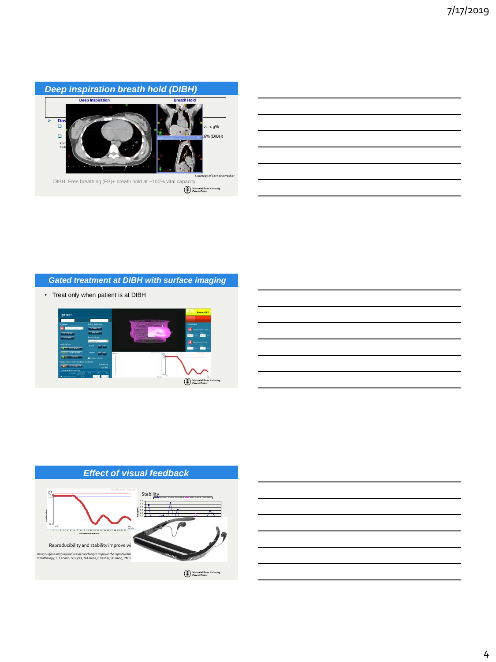

| <u> 1989 - Johann Barnett, fransk politiker (d. 1989)</u>   |  |  |
|-------------------------------------------------------------|--|--|
|                                                             |  |  |
| <u> 1989 - Johann Stoff, amerikansk politiker (d. 1989)</u> |  |  |
| <u> 1989 - Johann Stoff, amerikansk politiker (d. 1989)</u> |  |  |
|                                                             |  |  |
|                                                             |  |  |

Ĭ.

#### *Gated treatment at DIBH with surface imaging*

• Treat only when patient is at DIBH







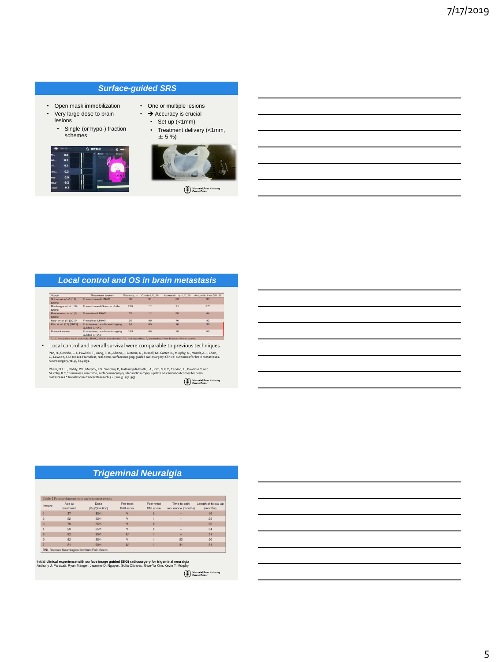#### *Surface-guided SRS*

- Open mask immobilization
- Very large dose to brain lesions
	- Single (or hypo-) fraction schemes





• One or multiple lesions  $\cdot$   $\rightarrow$  Accuracy is crucial • Set up (<1mm)

Memorial Shoan Kettering

#### *Local control and OS in brain metastasis*

| Study                           | <b>Treatment</b> system                    | Patients, n. | Crude LC. % | Actuarial 1-yr LC, % | Actuarial 1-yr OS, % |
|---------------------------------|--------------------------------------------|--------------|-------------|----------------------|----------------------|
| Schomas et al. (19)<br>[2006]   | Frame-based LINAC                          | 80           | $\Omega$    | 89                   | 33                   |
| Bhatnagar et al. (18)<br>[2006] | Frame-based Gamma Knife                    | 205          | $***$       | 71                   | 37 <sup>b</sup>      |
| Brenenman et al. (6)<br>[2000]  | Frameless LINAC                            | 53           | <b>BRE</b>  | RO                   | AA                   |
| Nath et al. (7) [2010]          | <b>Frameless LINAC</b>                     | 65           | 88          | 76                   | 40                   |
| Pan et al. (17) (2012)          | Frameless, surface-imaging<br>quided LINAC | AA           | 85          | 76                   | 38                   |
| <b>Present series</b>           | Frameless, surface-imaging<br>quided LINAC | 163          | RS          | 79                   | 56                   |

• Local control and overall survival were comparable to previous techniques Pan, H., Cerviño, L. I., Pawlicki, T., Jiang, S. B., Alksne, J., Detorie, N., Russell, M., Carter, B., Muphy, K., Mundt, A.J., Chen,<br>C., Lawson, J. D. (2022). Frameless, real-time, surface imaging-guided radiosurgery: Clin

Pham, N.L.L., Reddy, P.V., Murphy, J.D., Sanghvi, P., Hattangadi-Gluth, J.A., Kim, G.G.Y., Cervino, L., Pawlicki,T. and<br>Murphy, K.T., "Frameless, real-time, surface imaging-guided radiosurgery: update on clinical outcomes

Memorial Sloan Kettering<br>Cancer Center

### *Trigeminal Neuralgia*

| Patient        | Age at    | Dose            | Pre-treat        | Post-treat       | Time to pain             | Length of follow up |
|----------------|-----------|-----------------|------------------|------------------|--------------------------|---------------------|
|                | treatment | (Gy)/(fraction) | <b>BNI</b> score | <b>BNI</b> score | recurrence (months)      | (months)            |
|                | 37        | 80/1            | v                | $\mathbf{u}$     | ۰                        | 16                  |
|                | 82        | 80/1            | v                |                  |                          | 28                  |
| $\overline{3}$ | 79        | 85/1            | v                | $\mathbf{u}$     | $\overline{\phantom{a}}$ | 20                  |
|                | 29        | 85/1            | $\lambda$        | п                |                          | 54                  |
| $\overline{5}$ | 82        | 90/1            | IV               |                  | ۰                        | 51                  |
|                | 82        | 90/1            | $\overline{u}$   |                  | 52                       | 56                  |
|                | 81        | 90/1            | $\mathbb{N}$     |                  | 31                       | 31                  |

**Initial clinical experience with surface image guided (SIG) radiosurgery for trigeminal neuralgia<br>Anthony J. Paravati, Ryan Manger, Jasmine D. Nguyen, Sofia Olivares, Gwe-Ya Kim, Kevin T. Murphy** 

Memorial Sloan Kettering<br>Cancer Center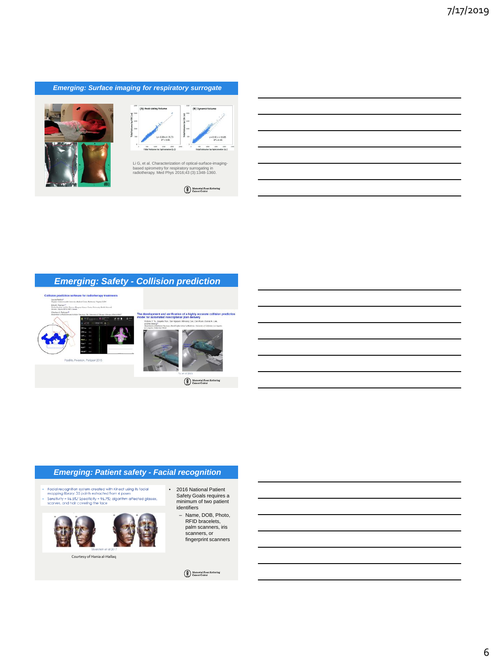#### *Emerging: Surface imaging for respiratory surrogate*





Li G, et al. Characterization of optical-surface-imagingbased spirometry for respiratory surrogating in radiotherapy. Med Phys 2016;43 (3):1348-1360.

#### *Emerging: Safety - Collision prediction*



Memorial Sloa

#### *Emerging: Patient safety - Facial recognition*

- Facial recognition system created with Kinect using its facial<br>mapping library: 35 points extracted from 4 poses<br>Sensitivity = 96.5%/ Specificity = 96.7%; algorithm affected glasses,<br>scarves, and hair covering the face



Courtesy of Hania al-Hallaq

- 2016 National Patient Safety Goals requires a minimum of two patient identifiers
	- Name, DOB, Photo, RFID bracelets, palm scanners, iris scanners, or fingerprint scanners

 $\begin{tabular}{|c|} \hline \multicolumn{3}{|c|}{\textbf{Memorial Soon Kettering}}\\ \hline \multicolumn{3}{|c|}{\textbf{Memorial Soon Kettering}}\\ \hline \multicolumn{3}{|c|}{\textbf{Cancer Center}}\\ \hline \end{tabular}$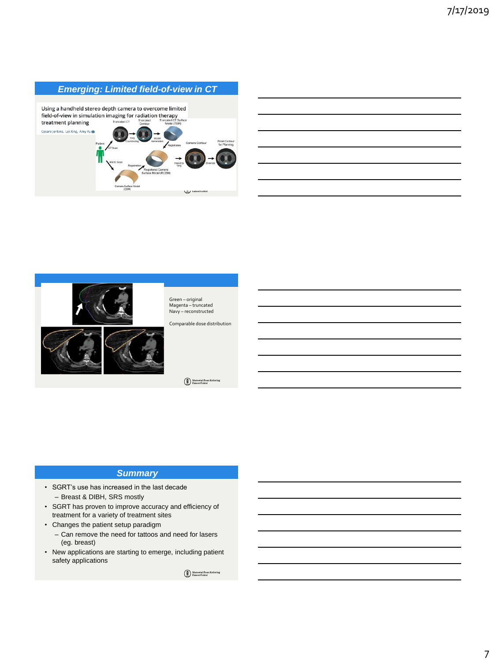# *Emerging: Limited field-of-view in CT*





Green – original Magenta – truncated Navy – reconstructed

Comparable dose distribution

Memorial Sloan Kette

#### *Summary*

- SGRT's use has increased in the last decade – Breast & DIBH, SRS mostly
- SGRT has proven to improve accuracy and efficiency of treatment for a variety of treatment sites
- Changes the patient setup paradigm
	- Can remove the need for tattoos and need for lasers (eg. breast)
- New applications are starting to emerge, including patient safety applications

 $\begin{tabular}{|c|} \hline \multicolumn{3}{|c|}{\textbf{Memorial Soon Kettering}}\\ \hline \multicolumn{3}{|c|}{\textbf{Memorial Soon Kettering}}\\ \hline \multicolumn{3}{|c|}{\textbf{Cancer Center}}\\ \hline \end{tabular}$